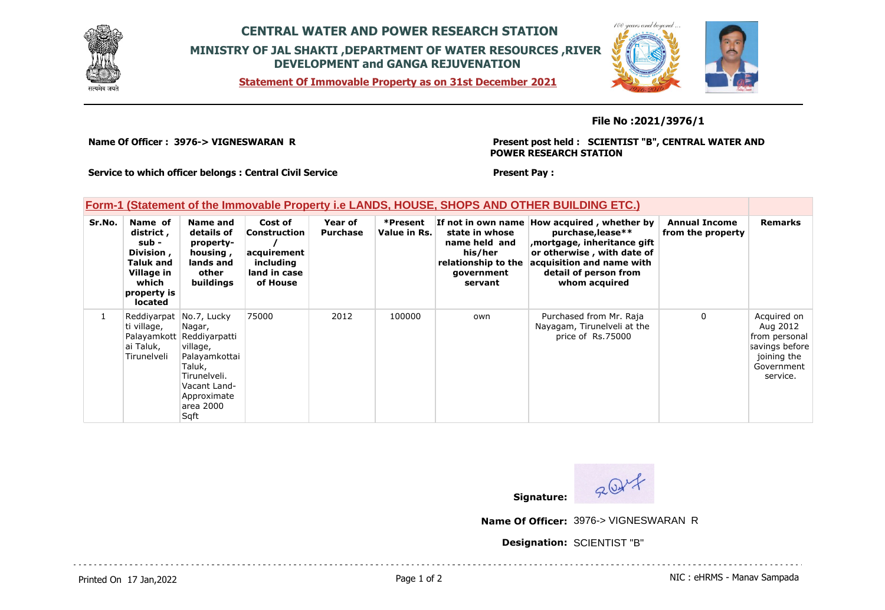

## **CENTRAL WATER AND POWER RESEARCH STATION MINISTRY OF JAL SHAKTI ,DEPARTMENT OF WATER RESOURCES ,RIVER DEVELOPMENT and GANGA REJUVENATION**

**Statement Of Immovable Property as on 31st December 2021**



### **File No :2021/3976/1**

**Name Of Officer : 3976-> VIGNESWARAN R** 

**Present post held : SCIENTIST "B", CENTRAL WATER AND POWER RESEARCH STATION**

**Service to which officer belongs : Central Civil Service**

#### **Present Pay :**

### **Form-1 (Statement of the Immovable Property i.e LANDS, HOUSE, SHOPS AND OTHER BUILDING ETC.)**

| Sr.No. | Name of<br>district,<br>sub -<br>Division,<br><b>Taluk and</b><br>Village in<br>which<br>property is<br><b>located</b> | Name and<br>details of<br>property-<br>housing,<br>lands and<br>other<br>buildings                                                             | Cost of<br>Construction<br>acquirement<br>including<br>land in case<br>of House | Year of<br><b>Purchase</b> | *Present<br>Value in Rs. | state in whose<br>name held and<br>his/her<br>relationship to the<br>government<br>servant | If not in own name How acquired, whether by<br>purchase, lease**<br>mortgage, inheritance gift<br>or otherwise, with date of<br>acquisition and name with<br>detail of person from<br>whom acquired | <b>Annual Income</b><br>from the property | <b>Remarks</b>                                                                                      |
|--------|------------------------------------------------------------------------------------------------------------------------|------------------------------------------------------------------------------------------------------------------------------------------------|---------------------------------------------------------------------------------|----------------------------|--------------------------|--------------------------------------------------------------------------------------------|-----------------------------------------------------------------------------------------------------------------------------------------------------------------------------------------------------|-------------------------------------------|-----------------------------------------------------------------------------------------------------|
|        | Reddiyarpat No.7, Lucky<br>ti village,<br>ai Taluk,<br>Tirunelveli                                                     | Nagar,<br>Palayamkott Reddiyarpatti<br>village,<br>Palayamkottai<br>Taluk,<br>Tirunelveli.<br>Vacant Land-<br>Approximate<br>area 2000<br>Sqft | 75000                                                                           | 2012                       | 100000                   | own                                                                                        | Purchased from Mr. Raja<br>Nayagam, Tirunelveli at the<br>price of Rs.75000                                                                                                                         | 0                                         | Acquired on<br>Aug 2012<br>from personal<br>savings before<br>joining the<br>Government<br>service. |



**Name Of Officer:** 3976-> VIGNESWARAN R

**Designation:** SCIENTIST "B"

Printed On 17 Jan, 2022 **Page 1 of 2** Page 1 of 2 Page 1 of 2 NIC : eHRMS - Manav Sampada